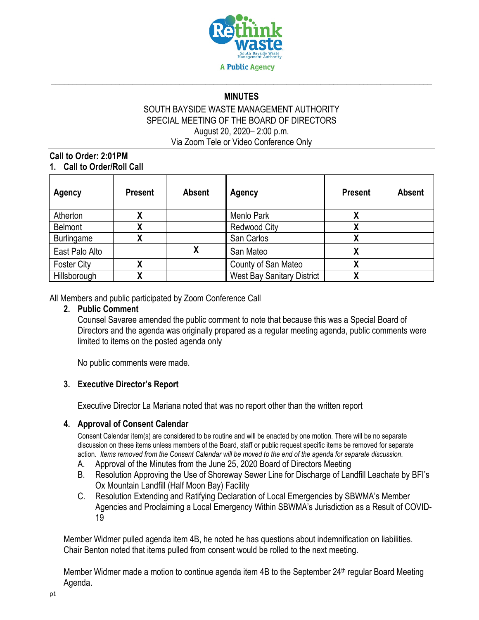

# **\_\_\_\_\_\_\_\_\_\_\_\_\_\_\_\_\_\_\_\_\_\_\_\_\_\_\_\_\_\_\_\_\_\_\_\_\_\_\_\_\_\_\_\_\_\_\_\_\_\_\_\_\_\_\_\_\_\_\_\_\_\_\_\_\_\_\_\_\_\_\_\_\_\_\_\_\_\_\_\_\_\_\_\_\_\_\_\_\_ MINUTES**

### SOUTH BAYSIDE WASTE MANAGEMENT AUTHORITY SPECIAL MEETING OF THE BOARD OF DIRECTORS August 20, 2020– 2:00 p.m. Via Zoom Tele or Video Conference Only

### **Call to Order: 2:01PM 1. Call to Order/Roll Call**

| Agency             | <b>Present</b> | <b>Absent</b> | Agency                            | <b>Present</b> | <b>Absent</b> |
|--------------------|----------------|---------------|-----------------------------------|----------------|---------------|
| Atherton           |                |               | Menlo Park                        |                |               |
| <b>Belmont</b>     |                |               | <b>Redwood City</b>               |                |               |
| <b>Burlingame</b>  |                |               | San Carlos                        |                |               |
| East Palo Alto     |                | χ             | San Mateo                         | χ              |               |
| <b>Foster City</b> |                |               | County of San Mateo               |                |               |
| Hillsborough       |                |               | <b>West Bay Sanitary District</b> |                |               |

All Members and public participated by Zoom Conference Call

### **2. Public Comment**

Counsel Savaree amended the public comment to note that because this was a Special Board of Directors and the agenda was originally prepared as a regular meeting agenda, public comments were limited to items on the posted agenda only

No public comments were made.

## **3. Executive Director's Report**

Executive Director La Mariana noted that was no report other than the written report

## **4. Approval of Consent Calendar**

Consent Calendar item(s) are considered to be routine and will be enacted by one motion. There will be no separate discussion on these items unless members of the Board, staff or public request specific items be removed for separate action. *Items removed from the Consent Calendar will be moved to the end of the agenda for separate discussion*.

- A. Approval of the Minutes from the June 25, 2020 Board of Directors Meeting
- B. Resolution Approving the Use of Shoreway Sewer Line for Discharge of Landfill Leachate by BFI's Ox Mountain Landfill (Half Moon Bay) Facility
- C. Resolution Extending and Ratifying Declaration of Local Emergencies by SBWMA's Member Agencies and Proclaiming a Local Emergency Within SBWMA's Jurisdiction as a Result of COVID-19

Member Widmer pulled agenda item 4B, he noted he has questions about indemnification on liabilities. Chair Benton noted that items pulled from consent would be rolled to the next meeting.

Member Widmer made a motion to continue agenda item 4B to the September  $24<sup>th</sup>$  regular Board Meeting Agenda.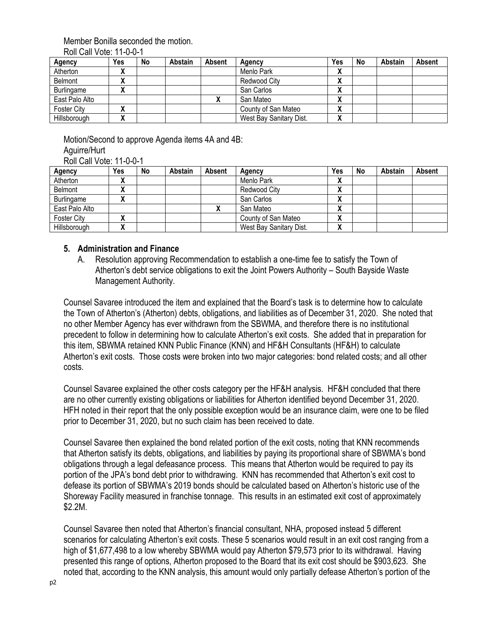### Member Bonilla seconded the motion.

Roll Call Vote: 11-0-0-1

| Agency            | Yes                | No | <b>Abstain</b> | Absent | Agency                  | Yes          | No | Abstain | Absent |
|-------------------|--------------------|----|----------------|--------|-------------------------|--------------|----|---------|--------|
| Atherton          | $\mathbf{\Lambda}$ |    |                |        | Menlo Park              | $\mathbf{v}$ |    |         |        |
| <b>Belmont</b>    | $\mathbf{\Lambda}$ |    |                |        | Redwood City            | $\mathbf{v}$ |    |         |        |
| <b>Burlingame</b> |                    |    |                |        | San Carlos              | Λ            |    |         |        |
| East Palo Alto    |                    |    |                |        | San Mateo               | Λ            |    |         |        |
| Foster City       |                    |    |                |        | County of San Mateo     | Λ            |    |         |        |
| Hillsborough      |                    |    |                |        | West Bay Sanitary Dist. | v<br>Λ       |    |         |        |

Motion/Second to approve Agenda items 4A and 4B: Aguirre/Hurt

Roll Call Vote: 11-0-0-1

| Agency             | Yes          | No | Abstain | <b>Absent</b> | Agency                  | Yes    | No | Abstain | Absent |
|--------------------|--------------|----|---------|---------------|-------------------------|--------|----|---------|--------|
| Atherton           | $\mathbf{v}$ |    |         |               | Menlo Park              | v<br>Λ |    |         |        |
| Belmont            | $\mathbf{v}$ |    |         |               | Redwood City            | v<br>Λ |    |         |        |
| Burlingame         |              |    |         |               | San Carlos              | v<br>Λ |    |         |        |
| East Palo Alto     |              |    |         |               | San Mateo               | v<br>Λ |    |         |        |
| <b>Foster City</b> |              |    |         |               | County of San Mateo     | v<br>Λ |    |         |        |
| Hillsborough       |              |    |         |               | West Bay Sanitary Dist. | v<br>Λ |    |         |        |

## **5. Administration and Finance**

A. Resolution approving Recommendation to establish a one-time fee to satisfy the Town of Atherton's debt service obligations to exit the Joint Powers Authority – South Bayside Waste Management Authority.

Counsel Savaree introduced the item and explained that the Board's task is to determine how to calculate the Town of Atherton's (Atherton) debts, obligations, and liabilities as of December 31, 2020. She noted that no other Member Agency has ever withdrawn from the SBWMA, and therefore there is no institutional precedent to follow in determining how to calculate Atherton's exit costs. She added that in preparation for this item, SBWMA retained KNN Public Finance (KNN) and HF&H Consultants (HF&H) to calculate Atherton's exit costs. Those costs were broken into two major categories: bond related costs; and all other costs.

Counsel Savaree explained the other costs category per the HF&H analysis. HF&H concluded that there are no other currently existing obligations or liabilities for Atherton identified beyond December 31, 2020. HFH noted in their report that the only possible exception would be an insurance claim, were one to be filed prior to December 31, 2020, but no such claim has been received to date.

Counsel Savaree then explained the bond related portion of the exit costs, noting that KNN recommends that Atherton satisfy its debts, obligations, and liabilities by paying its proportional share of SBWMA's bond obligations through a legal defeasance process. This means that Atherton would be required to pay its portion of the JPA's bond debt prior to withdrawing. KNN has recommended that Atherton's exit cost to defease its portion of SBWMA's 2019 bonds should be calculated based on Atherton's historic use of the Shoreway Facility measured in franchise tonnage. This results in an estimated exit cost of approximately \$2.2M.

Counsel Savaree then noted that Atherton's financial consultant, NHA, proposed instead 5 different scenarios for calculating Atherton's exit costs. These 5 scenarios would result in an exit cost ranging from a high of \$1,677,498 to a low whereby SBWMA would pay Atherton \$79,573 prior to its withdrawal. Having presented this range of options, Atherton proposed to the Board that its exit cost should be \$903,623. She noted that, according to the KNN analysis, this amount would only partially defease Atherton's portion of the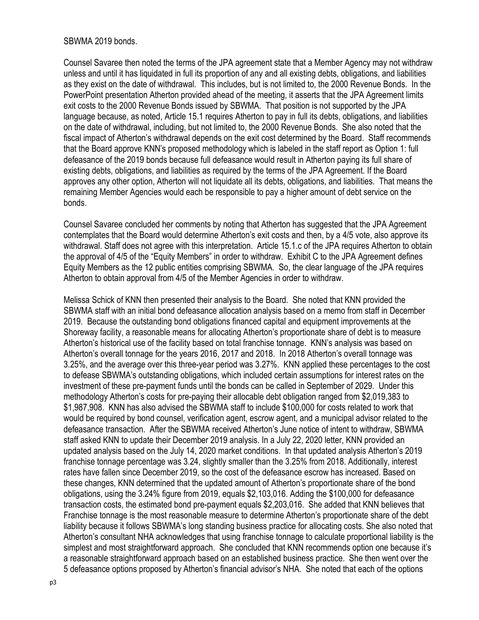#### SBWMA 2019 bonds.

Counsel Savaree then noted the terms of the JPA agreement state that a Member Agency may not withdraw unless and until it has liquidated in full its proportion of any and all existing debts, obligations, and liabilities as they exist on the date of withdrawal. This includes, but is not limited to, the 2000 Revenue Bonds. In the PowerPoint presentation Atherton provided ahead of the meeting, it asserts that the JPA Agreement limits exit costs to the 2000 Revenue Bonds issued by SBWMA. That position is not supported by the JPA language because, as noted, Article 15.1 requires Atherton to pay in full its debts, obligations, and liabilities on the date of withdrawal, including, but not limited to, the 2000 Revenue Bonds. She also noted that the fiscal impact of Atherton's withdrawal depends on the exit cost determined by the Board. Staff recommends that the Board approve KNN's proposed methodology which is labeled in the staff report as Option 1: full defeasance of the 2019 bonds because full defeasance would result in Atherton paying its full share of existing debts, obligations, and liabilities as required by the terms of the JPA Agreement. If the Board approves any other option, Atherton will not liquidate all its debts, obligations, and liabilities. That means the remaining Member Agencies would each be responsible to pay a higher amount of debt service on the bonds.

Counsel Savaree concluded her comments by noting that Atherton has suggested that the JPA Agreement contemplates that the Board would determine Atherton's exit costs and then, by a 4/5 vote, also approve its withdrawal. Staff does not agree with this interpretation. Article 15.1.c of the JPA requires Atherton to obtain the approval of 4/5 of the "Equity Members" in order to withdraw. Exhibit C to the JPA Agreement defines Equity Members as the 12 public entities comprising SBWMA. So, the clear language of the JPA requires Atherton to obtain approval from 4/5 of the Member Agencies in order to withdraw.

Melissa Schick of KNN then presented their analysis to the Board. She noted that KNN provided the SBWMA staff with an initial bond defeasance allocation analysis based on a memo from staff in December 2019. Because the outstanding bond obligations financed capital and equipment improvements at the Shoreway facility, a reasonable means for allocating Atherton's proportionate share of debt is to measure Atherton's historical use of the facility based on total franchise tonnage. KNN's analysis was based on Atherton's overall tonnage for the years 2016, 2017 and 2018. In 2018 Atherton's overall tonnage was 3.25%, and the average over this three-year period was 3.27%. KNN applied these percentages to the cost to defease SBWMA's outstanding obligations, which included certain assumptions for interest rates on the investment of these pre-payment funds until the bonds can be called in September of 2029. Under this methodology Atherton's costs for pre-paying their allocable debt obligation ranged from \$2,019,383 to \$1,987,908. KNN has also advised the SBWMA staff to include \$100,000 for costs related to work that would be required by bond counsel, verification agent, escrow agent, and a municipal advisor related to the defeasance transaction. After the SBWMA received Atherton's June notice of intent to withdraw, SBWMA staff asked KNN to update their December 2019 analysis. In a July 22, 2020 letter, KNN provided an updated analysis based on the July 14, 2020 market conditions. In that updated analysis Atherton's 2019 franchise tonnage percentage was 3.24, slightly smaller than the 3.25% from 2018. Additionally, interest rates have fallen since December 2019, so the cost of the defeasance escrow has increased. Based on these changes, KNN determined that the updated amount of Atherton's proportionate share of the bond obligations, using the 3.24% figure from 2019, equals \$2,103,016. Adding the \$100,000 for defeasance transaction costs, the estimated bond pre-payment equals \$2,203,016. She added that KNN believes that Franchise tonnage is the most reasonable measure to determine Atherton's proportionate share of the debt liability because it follows SBWMA's long standing business practice for allocating costs. She also noted that Atherton's consultant NHA acknowledges that using franchise tonnage to calculate proportional liability is the simplest and most straightforward approach. She concluded that KNN recommends option one because it's a reasonable straightforward approach based on an established business practice. She then went over the 5 defeasance options proposed by Atherton's financial advisor's NHA. She noted that each of the options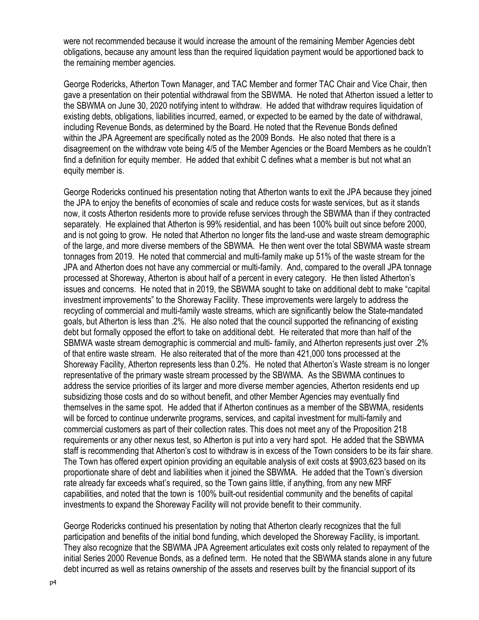were not recommended because it would increase the amount of the remaining Member Agencies debt obligations, because any amount less than the required liquidation payment would be apportioned back to the remaining member agencies.

George Rodericks, Atherton Town Manager, and TAC Member and former TAC Chair and Vice Chair, then gave a presentation on their potential withdrawal from the SBWMA. He noted that Atherton issued a letter to the SBWMA on June 30, 2020 notifying intent to withdraw. He added that withdraw requires liquidation of existing debts, obligations, liabilities incurred, earned, or expected to be earned by the date of withdrawal, including Revenue Bonds, as determined by the Board. He noted that the Revenue Bonds defined within the JPA Agreement are specifically noted as the 2009 Bonds. He also noted that there is a disagreement on the withdraw vote being 4/5 of the Member Agencies or the Board Members as he couldn't find a definition for equity member. He added that exhibit C defines what a member is but not what an equity member is.

George Rodericks continued his presentation noting that Atherton wants to exit the JPA because they joined the JPA to enjoy the benefits of economies of scale and reduce costs for waste services, but as it stands now, it costs Atherton residents more to provide refuse services through the SBWMA than if they contracted separately. He explained that Atherton is 99% residential, and has been 100% built out since before 2000, and is not going to grow. He noted that Atherton no longer fits the land-use and waste stream demographic of the large, and more diverse members of the SBWMA. He then went over the total SBWMA waste stream tonnages from 2019. He noted that commercial and multi-family make up 51% of the waste stream for the JPA and Atherton does not have any commercial or multi-family. And, compared to the overall JPA tonnage processed at Shoreway, Atherton is about half of a percent in every category. He then listed Atherton's issues and concerns. He noted that in 2019, the SBWMA sought to take on additional debt to make "capital investment improvements" to the Shoreway Facility. These improvements were largely to address the recycling of commercial and multi-family waste streams, which are significantly below the State-mandated goals, but Atherton is less than .2%. He also noted that the council supported the refinancing of existing debt but formally opposed the effort to take on additional debt. He reiterated that more than half of the SBMWA waste stream demographic is commercial and multi- family, and Atherton represents just over .2% of that entire waste stream. He also reiterated that of the more than 421,000 tons processed at the Shoreway Facility, Atherton represents less than 0.2%. He noted that Atherton's Waste stream is no longer representative of the primary waste stream processed by the SBWMA. As the SBWMA continues to address the service priorities of its larger and more diverse member agencies, Atherton residents end up subsidizing those costs and do so without benefit, and other Member Agencies may eventually find themselves in the same spot. He added that if Atherton continues as a member of the SBWMA, residents will be forced to continue underwrite programs, services, and capital investment for multi-family and commercial customers as part of their collection rates. This does not meet any of the Proposition 218 requirements or any other nexus test, so Atherton is put into a very hard spot. He added that the SBWMA staff is recommending that Atherton's cost to withdraw is in excess of the Town considers to be its fair share. The Town has offered expert opinion providing an equitable analysis of exit costs at \$903,623 based on its proportionate share of debt and liabilities when it joined the SBWMA. He added that the Town's diversion rate already far exceeds what's required, so the Town gains little, if anything, from any new MRF capabilities, and noted that the town is 100% built-out residential community and the benefits of capital investments to expand the Shoreway Facility will not provide benefit to their community.

George Rodericks continued his presentation by noting that Atherton clearly recognizes that the full participation and benefits of the initial bond funding, which developed the Shoreway Facility, is important. They also recognize that the SBWMA JPA Agreement articulates exit costs only related to repayment of the initial Series 2000 Revenue Bonds, as a defined term. He noted that the SBWMA stands alone in any future debt incurred as well as retains ownership of the assets and reserves built by the financial support of its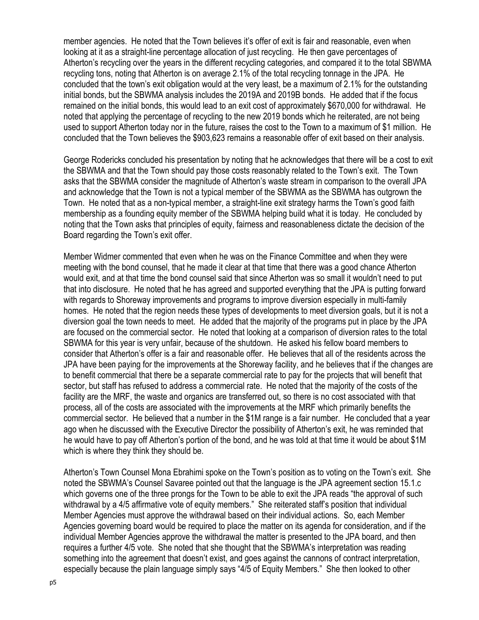member agencies. He noted that the Town believes it's offer of exit is fair and reasonable, even when looking at it as a straight-line percentage allocation of just recycling. He then gave percentages of Atherton's recycling over the years in the different recycling categories, and compared it to the total SBWMA recycling tons, noting that Atherton is on average 2.1% of the total recycling tonnage in the JPA. He concluded that the town's exit obligation would at the very least, be a maximum of 2.1% for the outstanding initial bonds, but the SBWMA analysis includes the 2019A and 2019B bonds. He added that if the focus remained on the initial bonds, this would lead to an exit cost of approximately \$670,000 for withdrawal. He noted that applying the percentage of recycling to the new 2019 bonds which he reiterated, are not being used to support Atherton today nor in the future, raises the cost to the Town to a maximum of \$1 million. He concluded that the Town believes the \$903,623 remains a reasonable offer of exit based on their analysis.

George Rodericks concluded his presentation by noting that he acknowledges that there will be a cost to exit the SBWMA and that the Town should pay those costs reasonably related to the Town's exit. The Town asks that the SBWMA consider the magnitude of Atherton's waste stream in comparison to the overall JPA and acknowledge that the Town is not a typical member of the SBWMA as the SBWMA has outgrown the Town. He noted that as a non-typical member, a straight-line exit strategy harms the Town's good faith membership as a founding equity member of the SBWMA helping build what it is today. He concluded by noting that the Town asks that principles of equity, fairness and reasonableness dictate the decision of the Board regarding the Town's exit offer.

Member Widmer commented that even when he was on the Finance Committee and when they were meeting with the bond counsel, that he made it clear at that time that there was a good chance Atherton would exit, and at that time the bond counsel said that since Atherton was so small it wouldn't need to put that into disclosure. He noted that he has agreed and supported everything that the JPA is putting forward with regards to Shoreway improvements and programs to improve diversion especially in multi-family homes. He noted that the region needs these types of developments to meet diversion goals, but it is not a diversion goal the town needs to meet. He added that the majority of the programs put in place by the JPA are focused on the commercial sector. He noted that looking at a comparison of diversion rates to the total SBWMA for this year is very unfair, because of the shutdown. He asked his fellow board members to consider that Atherton's offer is a fair and reasonable offer. He believes that all of the residents across the JPA have been paying for the improvements at the Shoreway facility, and he believes that if the changes are to benefit commercial that there be a separate commercial rate to pay for the projects that will benefit that sector, but staff has refused to address a commercial rate. He noted that the majority of the costs of the facility are the MRF, the waste and organics are transferred out, so there is no cost associated with that process, all of the costs are associated with the improvements at the MRF which primarily benefits the commercial sector. He believed that a number in the \$1M range is a fair number. He concluded that a year ago when he discussed with the Executive Director the possibility of Atherton's exit, he was reminded that he would have to pay off Atherton's portion of the bond, and he was told at that time it would be about \$1M which is where they think they should be.

Atherton's Town Counsel Mona Ebrahimi spoke on the Town's position as to voting on the Town's exit. She noted the SBWMA's Counsel Savaree pointed out that the language is the JPA agreement section 15.1.c which governs one of the three prongs for the Town to be able to exit the JPA reads "the approval of such withdrawal by a 4/5 affirmative vote of equity members." She reiterated staff's position that individual Member Agencies must approve the withdrawal based on their individual actions. So, each Member Agencies governing board would be required to place the matter on its agenda for consideration, and if the individual Member Agencies approve the withdrawal the matter is presented to the JPA board, and then requires a further 4/5 vote. She noted that she thought that the SBWMA's interpretation was reading something into the agreement that doesn't exist, and goes against the cannons of contract interpretation, especially because the plain language simply says "4/5 of Equity Members." She then looked to other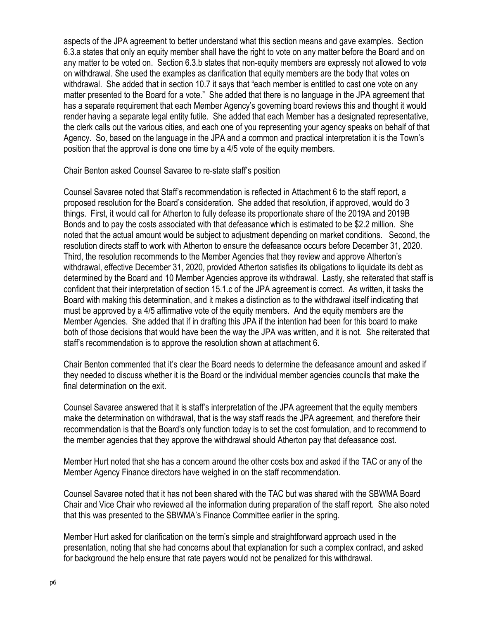aspects of the JPA agreement to better understand what this section means and gave examples. Section 6.3.a states that only an equity member shall have the right to vote on any matter before the Board and on any matter to be voted on. Section 6.3.b states that non-equity members are expressly not allowed to vote on withdrawal. She used the examples as clarification that equity members are the body that votes on withdrawal. She added that in section 10.7 it says that "each member is entitled to cast one vote on any matter presented to the Board for a vote." She added that there is no language in the JPA agreement that has a separate requirement that each Member Agency's governing board reviews this and thought it would render having a separate legal entity futile. She added that each Member has a designated representative, the clerk calls out the various cities, and each one of you representing your agency speaks on behalf of that Agency. So, based on the language in the JPA and a common and practical interpretation it is the Town's position that the approval is done one time by a 4/5 vote of the equity members.

Chair Benton asked Counsel Savaree to re-state staff's position

Counsel Savaree noted that Staff's recommendation is reflected in Attachment 6 to the staff report, a proposed resolution for the Board's consideration. She added that resolution, if approved, would do 3 things. First, it would call for Atherton to fully defease its proportionate share of the 2019A and 2019B Bonds and to pay the costs associated with that defeasance which is estimated to be \$2.2 million. She noted that the actual amount would be subject to adjustment depending on market conditions. Second, the resolution directs staff to work with Atherton to ensure the defeasance occurs before December 31, 2020. Third, the resolution recommends to the Member Agencies that they review and approve Atherton's withdrawal, effective December 31, 2020, provided Atherton satisfies its obligations to liquidate its debt as determined by the Board and 10 Member Agencies approve its withdrawal. Lastly, she reiterated that staff is confident that their interpretation of section 15.1.c of the JPA agreement is correct. As written, it tasks the Board with making this determination, and it makes a distinction as to the withdrawal itself indicating that must be approved by a 4/5 affirmative vote of the equity members. And the equity members are the Member Agencies. She added that if in drafting this JPA if the intention had been for this board to make both of those decisions that would have been the way the JPA was written, and it is not. She reiterated that staff's recommendation is to approve the resolution shown at attachment 6.

Chair Benton commented that it's clear the Board needs to determine the defeasance amount and asked if they needed to discuss whether it is the Board or the individual member agencies councils that make the final determination on the exit.

Counsel Savaree answered that it is staff's interpretation of the JPA agreement that the equity members make the determination on withdrawal, that is the way staff reads the JPA agreement, and therefore their recommendation is that the Board's only function today is to set the cost formulation, and to recommend to the member agencies that they approve the withdrawal should Atherton pay that defeasance cost.

Member Hurt noted that she has a concern around the other costs box and asked if the TAC or any of the Member Agency Finance directors have weighed in on the staff recommendation.

Counsel Savaree noted that it has not been shared with the TAC but was shared with the SBWMA Board Chair and Vice Chair who reviewed all the information during preparation of the staff report. She also noted that this was presented to the SBWMA's Finance Committee earlier in the spring.

Member Hurt asked for clarification on the term's simple and straightforward approach used in the presentation, noting that she had concerns about that explanation for such a complex contract, and asked for background the help ensure that rate payers would not be penalized for this withdrawal.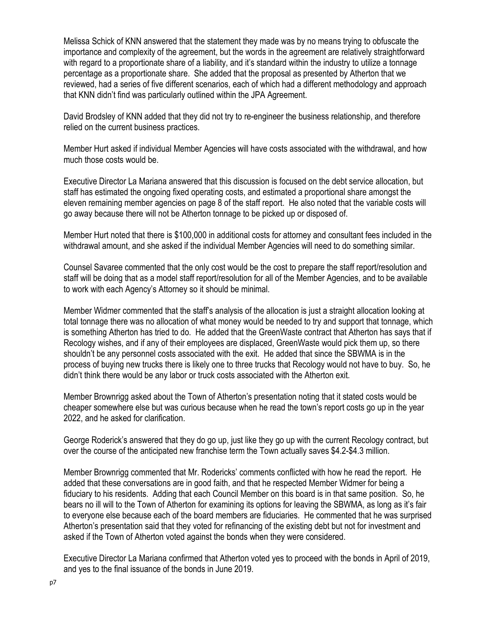Melissa Schick of KNN answered that the statement they made was by no means trying to obfuscate the importance and complexity of the agreement, but the words in the agreement are relatively straightforward with regard to a proportionate share of a liability, and it's standard within the industry to utilize a tonnage percentage as a proportionate share. She added that the proposal as presented by Atherton that we reviewed, had a series of five different scenarios, each of which had a different methodology and approach that KNN didn't find was particularly outlined within the JPA Agreement.

David Brodsley of KNN added that they did not try to re-engineer the business relationship, and therefore relied on the current business practices.

Member Hurt asked if individual Member Agencies will have costs associated with the withdrawal, and how much those costs would be.

Executive Director La Mariana answered that this discussion is focused on the debt service allocation, but staff has estimated the ongoing fixed operating costs, and estimated a proportional share amongst the eleven remaining member agencies on page 8 of the staff report. He also noted that the variable costs will go away because there will not be Atherton tonnage to be picked up or disposed of.

Member Hurt noted that there is \$100,000 in additional costs for attorney and consultant fees included in the withdrawal amount, and she asked if the individual Member Agencies will need to do something similar.

Counsel Savaree commented that the only cost would be the cost to prepare the staff report/resolution and staff will be doing that as a model staff report/resolution for all of the Member Agencies, and to be available to work with each Agency's Attorney so it should be minimal.

Member Widmer commented that the staff's analysis of the allocation is just a straight allocation looking at total tonnage there was no allocation of what money would be needed to try and support that tonnage, which is something Atherton has tried to do. He added that the GreenWaste contract that Atherton has says that if Recology wishes, and if any of their employees are displaced, GreenWaste would pick them up, so there shouldn't be any personnel costs associated with the exit. He added that since the SBWMA is in the process of buying new trucks there is likely one to three trucks that Recology would not have to buy. So, he didn't think there would be any labor or truck costs associated with the Atherton exit.

Member Brownrigg asked about the Town of Atherton's presentation noting that it stated costs would be cheaper somewhere else but was curious because when he read the town's report costs go up in the year 2022, and he asked for clarification.

George Roderick's answered that they do go up, just like they go up with the current Recology contract, but over the course of the anticipated new franchise term the Town actually saves \$4.2-\$4.3 million.

Member Brownrigg commented that Mr. Rodericks' comments conflicted with how he read the report. He added that these conversations are in good faith, and that he respected Member Widmer for being a fiduciary to his residents. Adding that each Council Member on this board is in that same position. So, he bears no ill will to the Town of Atherton for examining its options for leaving the SBWMA, as long as it's fair to everyone else because each of the board members are fiduciaries. He commented that he was surprised Atherton's presentation said that they voted for refinancing of the existing debt but not for investment and asked if the Town of Atherton voted against the bonds when they were considered.

Executive Director La Mariana confirmed that Atherton voted yes to proceed with the bonds in April of 2019, and yes to the final issuance of the bonds in June 2019.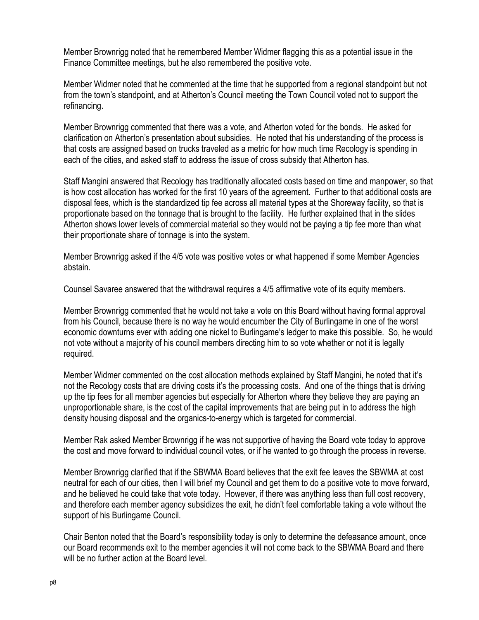Member Brownrigg noted that he remembered Member Widmer flagging this as a potential issue in the Finance Committee meetings, but he also remembered the positive vote.

Member Widmer noted that he commented at the time that he supported from a regional standpoint but not from the town's standpoint, and at Atherton's Council meeting the Town Council voted not to support the refinancing.

Member Brownrigg commented that there was a vote, and Atherton voted for the bonds. He asked for clarification on Atherton's presentation about subsidies. He noted that his understanding of the process is that costs are assigned based on trucks traveled as a metric for how much time Recology is spending in each of the cities, and asked staff to address the issue of cross subsidy that Atherton has.

Staff Mangini answered that Recology has traditionally allocated costs based on time and manpower, so that is how cost allocation has worked for the first 10 years of the agreement. Further to that additional costs are disposal fees, which is the standardized tip fee across all material types at the Shoreway facility, so that is proportionate based on the tonnage that is brought to the facility. He further explained that in the slides Atherton shows lower levels of commercial material so they would not be paying a tip fee more than what their proportionate share of tonnage is into the system.

Member Brownrigg asked if the 4/5 vote was positive votes or what happened if some Member Agencies abstain.

Counsel Savaree answered that the withdrawal requires a 4/5 affirmative vote of its equity members.

Member Brownrigg commented that he would not take a vote on this Board without having formal approval from his Council, because there is no way he would encumber the City of Burlingame in one of the worst economic downturns ever with adding one nickel to Burlingame's ledger to make this possible. So, he would not vote without a majority of his council members directing him to so vote whether or not it is legally required.

Member Widmer commented on the cost allocation methods explained by Staff Mangini, he noted that it's not the Recology costs that are driving costs it's the processing costs. And one of the things that is driving up the tip fees for all member agencies but especially for Atherton where they believe they are paying an unproportionable share, is the cost of the capital improvements that are being put in to address the high density housing disposal and the organics-to-energy which is targeted for commercial.

Member Rak asked Member Brownrigg if he was not supportive of having the Board vote today to approve the cost and move forward to individual council votes, or if he wanted to go through the process in reverse.

Member Brownrigg clarified that if the SBWMA Board believes that the exit fee leaves the SBWMA at cost neutral for each of our cities, then I will brief my Council and get them to do a positive vote to move forward, and he believed he could take that vote today. However, if there was anything less than full cost recovery, and therefore each member agency subsidizes the exit, he didn't feel comfortable taking a vote without the support of his Burlingame Council.

Chair Benton noted that the Board's responsibility today is only to determine the defeasance amount, once our Board recommends exit to the member agencies it will not come back to the SBWMA Board and there will be no further action at the Board level.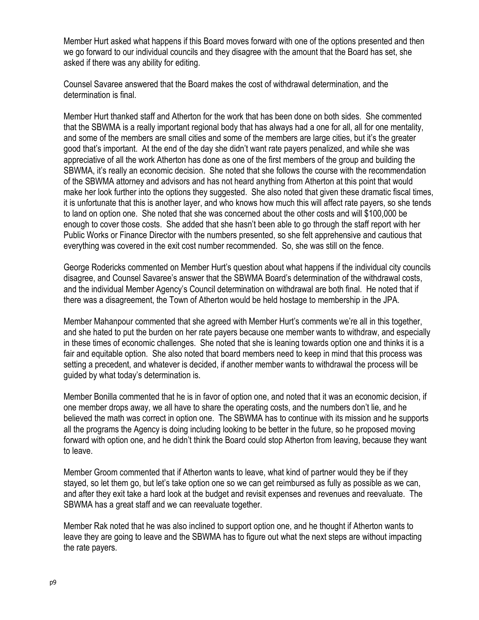Member Hurt asked what happens if this Board moves forward with one of the options presented and then we go forward to our individual councils and they disagree with the amount that the Board has set, she asked if there was any ability for editing.

Counsel Savaree answered that the Board makes the cost of withdrawal determination, and the determination is final.

Member Hurt thanked staff and Atherton for the work that has been done on both sides. She commented that the SBWMA is a really important regional body that has always had a one for all, all for one mentality, and some of the members are small cities and some of the members are large cities, but it's the greater good that's important. At the end of the day she didn't want rate payers penalized, and while she was appreciative of all the work Atherton has done as one of the first members of the group and building the SBWMA, it's really an economic decision. She noted that she follows the course with the recommendation of the SBWMA attorney and advisors and has not heard anything from Atherton at this point that would make her look further into the options they suggested. She also noted that given these dramatic fiscal times, it is unfortunate that this is another layer, and who knows how much this will affect rate payers, so she tends to land on option one. She noted that she was concerned about the other costs and will \$100,000 be enough to cover those costs. She added that she hasn't been able to go through the staff report with her Public Works or Finance Director with the numbers presented, so she felt apprehensive and cautious that everything was covered in the exit cost number recommended. So, she was still on the fence.

George Rodericks commented on Member Hurt's question about what happens if the individual city councils disagree, and Counsel Savaree's answer that the SBWMA Board's determination of the withdrawal costs, and the individual Member Agency's Council determination on withdrawal are both final. He noted that if there was a disagreement, the Town of Atherton would be held hostage to membership in the JPA.

Member Mahanpour commented that she agreed with Member Hurt's comments we're all in this together, and she hated to put the burden on her rate payers because one member wants to withdraw, and especially in these times of economic challenges. She noted that she is leaning towards option one and thinks it is a fair and equitable option. She also noted that board members need to keep in mind that this process was setting a precedent, and whatever is decided, if another member wants to withdrawal the process will be guided by what today's determination is.

Member Bonilla commented that he is in favor of option one, and noted that it was an economic decision, if one member drops away, we all have to share the operating costs, and the numbers don't lie, and he believed the math was correct in option one. The SBWMA has to continue with its mission and he supports all the programs the Agency is doing including looking to be better in the future, so he proposed moving forward with option one, and he didn't think the Board could stop Atherton from leaving, because they want to leave.

Member Groom commented that if Atherton wants to leave, what kind of partner would they be if they stayed, so let them go, but let's take option one so we can get reimbursed as fully as possible as we can, and after they exit take a hard look at the budget and revisit expenses and revenues and reevaluate. The SBWMA has a great staff and we can reevaluate together.

Member Rak noted that he was also inclined to support option one, and he thought if Atherton wants to leave they are going to leave and the SBWMA has to figure out what the next steps are without impacting the rate payers.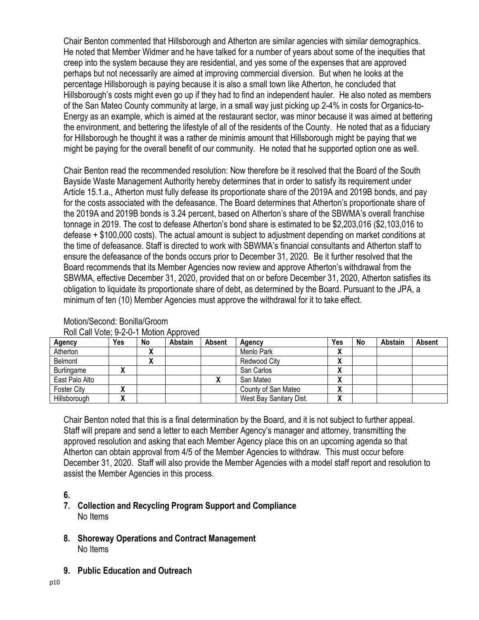Chair Benton commented that Hillsborough and Atherton are similar agencies with similar demographics. He noted that Member Widmer and he have talked for a number of years about some of the inequities that creep into the system because they are residential, and yes some of the expenses that are approved perhaps but not necessarily are aimed at improving commercial diversion. But when he looks at the percentage Hillsborough is paying because it is also a small town like Atherton, he concluded that Hillsborough's costs might even go up if they had to find an independent hauler. He also noted as members of the San Mateo County community at large, in a small way just picking up 2-4% in costs for Organics-to-Energy as an example, which is aimed at the restaurant sector, was minor because it was aimed at bettering the environment, and bettering the lifestyle of all of the residents of the County. He noted that as a fiduciary for Hillsborough he thought it was a rather de minimis amount that Hillsborough might be paying that we might be paying for the overall benefit of our community. He noted that he supported option one as well.

Chair Benton read the recommended resolution: Now therefore be it resolved that the Board of the South Bayside Waste Management Authority hereby determines that in order to satisfy its requirement under Article 15.1.a., Atherton must fully defease its proportionate share of the 2019A and 2019B bonds, and pay for the costs associated with the defeasance. The Board determines that Atherton's proportionate share of the 2019A and 2019B bonds is 3.24 percent, based on Atherton's share of the SBWMA's overall franchise tonnage in 2019. The cost to defease Atherton's bond share is estimated to be \$2,203,016 (\$2,103,016 to defease + \$100,000 costs). The actual amount is subject to adjustment depending on market conditions at the time of defeasance. Staff is directed to work with SBWMA's financial consultants and Atherton staff to ensure the defeasance of the bonds occurs prior to December 31, 2020. Be it further resolved that the Board recommends that its Member Agencies now review and approve Atherton's withdrawal from the SBWMA, effective December 31, 2020, provided that on or before December 31, 2020, Atherton satisfies its obligation to liquidate its proportionate share of debt, as determined by the Board. Pursuant to the JPA, a minimum of ten (10) Member Agencies must approve the withdrawal for it to take effect.

| <b>Agency</b>     | Yes | No | Abstain | Absent | Agency                  | Yes          | No | Abstain | Absent |
|-------------------|-----|----|---------|--------|-------------------------|--------------|----|---------|--------|
| Atherton          |     |    |         |        | Menlo Park              | $\mathbf{v}$ |    |         |        |
| Belmont           |     |    |         |        | Redwood City            | Λ            |    |         |        |
| <b>Burlingame</b> |     |    |         |        | San Carlos              | Λ            |    |         |        |
| East Palo Alto    |     |    |         |        | San Mateo               | $\mathbf{v}$ |    |         |        |
| Foster City       |     |    |         |        | County of San Mateo     | Λ            |    |         |        |
| Hillsborough      |     |    |         |        | West Bay Sanitary Dist. | Λ            |    |         |        |

#### Motion/Second: Bonilla/Groom Roll Call Vote; 9-2-0-1 Motion Approved

Chair Benton noted that this is a final determination by the Board, and it is not subject to further appeal. Staff will prepare and send a letter to each Member Agency's manager and attorney, transmitting the approved resolution and asking that each Member Agency place this on an upcoming agenda so that Atherton can obtain approval from 4/5 of the Member Agencies to withdraw. This must occur before December 31, 2020. Staff will also provide the Member Agencies with a model staff report and resolution to assist the Member Agencies in this process.

## **6.**

## **7. Collection and Recycling Program Support and Compliance** No Items

- **8. Shoreway Operations and Contract Management** No Items
- **9. Public Education and Outreach**